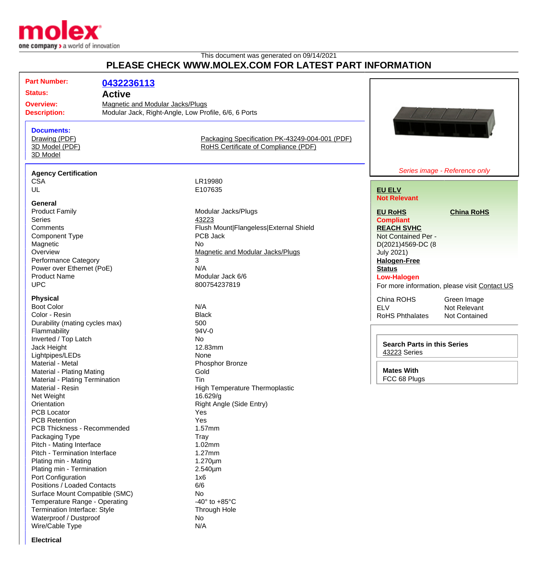

## This document was generated on 09/14/2021 **PLEASE CHECK WWW.MOLEX.COM FOR LATEST PART INFORMATION**

| <b>Part Number:</b>                                              | 0432236113    |                                                                                          |                                    |                                               |
|------------------------------------------------------------------|---------------|------------------------------------------------------------------------------------------|------------------------------------|-----------------------------------------------|
| <b>Status:</b>                                                   | <b>Active</b> |                                                                                          |                                    |                                               |
|                                                                  |               |                                                                                          |                                    |                                               |
| <b>Overview:</b>                                                 |               | Magnetic and Modular Jacks/Plugs<br>Modular Jack, Right-Angle, Low Profile, 6/6, 6 Ports |                                    |                                               |
| <b>Description:</b>                                              |               |                                                                                          |                                    |                                               |
| <b>Documents:</b><br>Drawing (PDF)<br>3D Model (PDF)<br>3D Model |               | Packaging Specification PK-43249-004-001 (PDF)<br>RoHS Certificate of Compliance (PDF)   |                                    |                                               |
|                                                                  |               | Series image - Reference only                                                            |                                    |                                               |
| <b>Agency Certification</b>                                      |               |                                                                                          |                                    |                                               |
| <b>CSA</b>                                                       |               | LR19980                                                                                  |                                    |                                               |
| UL                                                               |               | E107635                                                                                  | <b>EU ELV</b>                      |                                               |
| General                                                          |               |                                                                                          | <b>Not Relevant</b>                |                                               |
| <b>Product Family</b>                                            |               | Modular Jacks/Plugs                                                                      | <b>EU RoHS</b>                     | <b>China RoHS</b>                             |
| <b>Series</b>                                                    |               | 43223                                                                                    | <b>Compliant</b>                   |                                               |
| Comments                                                         |               | Flush Mount Flangeless External Shield                                                   | <b>REACH SVHC</b>                  |                                               |
|                                                                  |               | PCB Jack                                                                                 | Not Contained Per -                |                                               |
| <b>Component Type</b>                                            |               | <b>No</b>                                                                                |                                    |                                               |
| Magnetic                                                         |               | <b>Magnetic and Modular Jacks/Plugs</b>                                                  | D(2021)4569-DC (8                  |                                               |
| Overview                                                         |               | 3                                                                                        | <b>July 2021)</b>                  |                                               |
| <b>Performance Category</b>                                      |               | N/A                                                                                      | <b>Halogen-Free</b>                |                                               |
| Power over Ethernet (PoE)                                        |               |                                                                                          | <b>Status</b>                      |                                               |
| <b>Product Name</b>                                              |               | Modular Jack 6/6                                                                         | <b>Low-Halogen</b>                 |                                               |
| <b>UPC</b>                                                       |               | 800754237819                                                                             |                                    | For more information, please visit Contact US |
| <b>Physical</b>                                                  |               |                                                                                          | China ROHS                         | Green Image                                   |
| <b>Boot Color</b>                                                |               | N/A                                                                                      | <b>ELV</b>                         | Not Relevant                                  |
| Color - Resin                                                    |               | <b>Black</b>                                                                             | <b>RoHS Phthalates</b>             | Not Contained                                 |
| Durability (mating cycles max)                                   |               | 500                                                                                      |                                    |                                               |
| Flammability                                                     |               | 94V-0                                                                                    |                                    |                                               |
| Inverted / Top Latch                                             |               | No                                                                                       |                                    |                                               |
| Jack Height                                                      |               | 12.83mm                                                                                  | <b>Search Parts in this Series</b> |                                               |
| Lightpipes/LEDs                                                  |               | None                                                                                     | 43223 Series                       |                                               |
| Material - Metal                                                 |               | Phosphor Bronze                                                                          |                                    |                                               |
| Material - Plating Mating                                        |               | Gold                                                                                     | <b>Mates With</b>                  |                                               |
| Material - Plating Termination                                   |               | Tin                                                                                      | FCC 68 Plugs                       |                                               |
| Material - Resin                                                 |               | High Temperature Thermoplastic                                                           |                                    |                                               |
| Net Weight                                                       |               | 16.629/g                                                                                 |                                    |                                               |
| Orientation                                                      |               | Right Angle (Side Entry)                                                                 |                                    |                                               |
| <b>PCB Locator</b>                                               |               | Yes                                                                                      |                                    |                                               |
| <b>PCB Retention</b>                                             |               | Yes                                                                                      |                                    |                                               |
| PCB Thickness - Recommended                                      |               | 1.57mm                                                                                   |                                    |                                               |
| Packaging Type                                                   |               | Tray                                                                                     |                                    |                                               |
| Pitch - Mating Interface                                         |               | 1.02mm                                                                                   |                                    |                                               |
| Pitch - Termination Interface                                    |               | 1.27mm                                                                                   |                                    |                                               |
| Plating min - Mating                                             |               | $1.270 \mu m$                                                                            |                                    |                                               |
| Plating min - Termination                                        |               | $2.540 \mu m$                                                                            |                                    |                                               |
| Port Configuration                                               |               | 1x6                                                                                      |                                    |                                               |
| Positions / Loaded Contacts                                      |               | 6/6                                                                                      |                                    |                                               |
| Surface Mount Compatible (SMC)                                   |               | No                                                                                       |                                    |                                               |
| Temperature Range - Operating                                    |               | -40 $\degree$ to +85 $\degree$ C                                                         |                                    |                                               |
| Termination Interface: Style                                     |               | Through Hole                                                                             |                                    |                                               |
| Waterproof / Dustproof                                           |               | No                                                                                       |                                    |                                               |
| Wire/Cable Type                                                  |               | N/A                                                                                      |                                    |                                               |
|                                                                  |               |                                                                                          |                                    |                                               |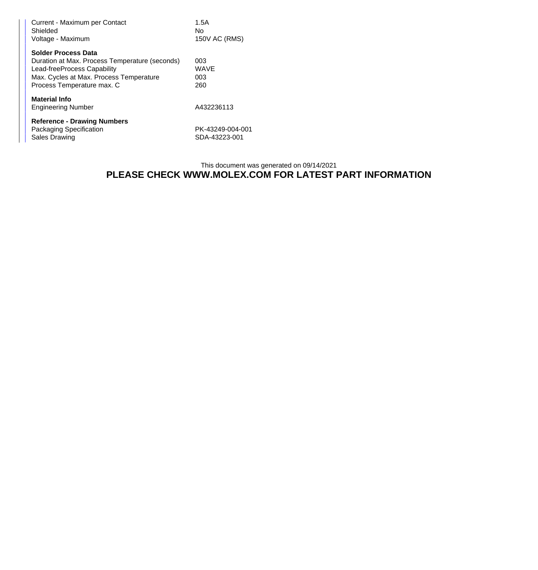| Current - Maximum per Contact<br>Shielded<br>Voltage - Maximum                                                                                                                       | 1.5A<br>No.<br>150V AC (RMS)      |
|--------------------------------------------------------------------------------------------------------------------------------------------------------------------------------------|-----------------------------------|
| <b>Solder Process Data</b><br>Duration at Max. Process Temperature (seconds)<br>Lead-freeProcess Capability<br>Max. Cycles at Max. Process Temperature<br>Process Temperature max. C | 003<br><b>WAVE</b><br>003<br>260  |
| <b>Material Info</b><br><b>Engineering Number</b>                                                                                                                                    | A432236113                        |
| <b>Reference - Drawing Numbers</b><br>Packaging Specification<br><b>Sales Drawing</b>                                                                                                | PK-43249-004-001<br>SDA-43223-001 |

## This document was generated on 09/14/2021 **PLEASE CHECK WWW.MOLEX.COM FOR LATEST PART INFORMATION**